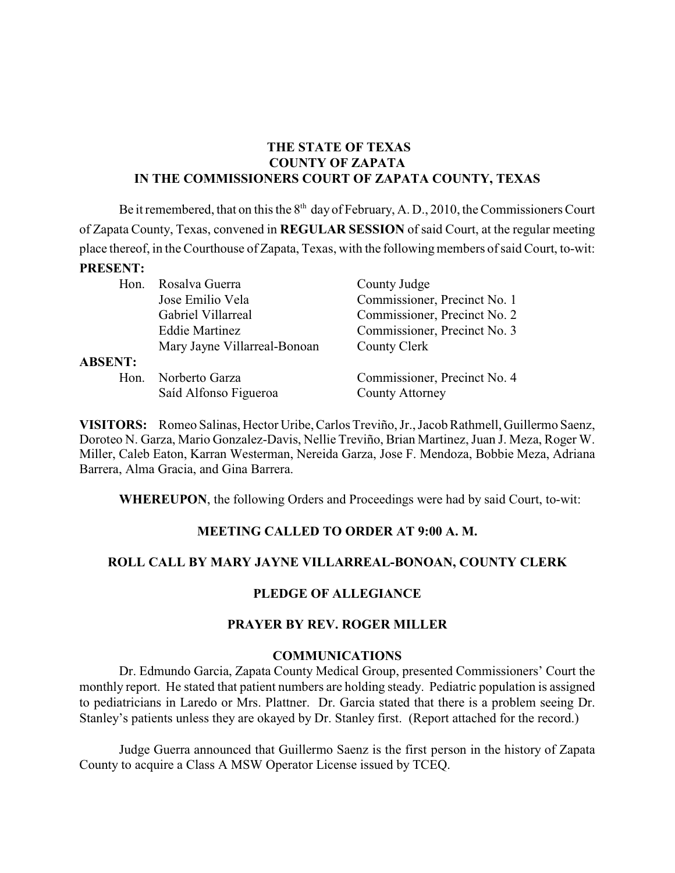## **THE STATE OF TEXAS COUNTY OF ZAPATA IN THE COMMISSIONERS COURT OF ZAPATA COUNTY, TEXAS**

Be it remembered, that on this the  $8<sup>th</sup>$  day of February, A. D., 2010, the Commissioners Court of Zapata County, Texas, convened in **REGULAR SESSION** of said Court, at the regular meeting place thereof, in the Courthouse of Zapata, Texas, with the following members of said Court, to-wit: **PRESENT:**

| Hon.           | Rosalva Guerra                          | County Judge                                    |
|----------------|-----------------------------------------|-------------------------------------------------|
|                | Jose Emilio Vela                        | Commissioner, Precinct No. 1                    |
|                | Gabriel Villarreal                      | Commissioner, Precinct No. 2                    |
|                | <b>Eddie Martinez</b>                   | Commissioner, Precinct No. 3                    |
|                | Mary Jayne Villarreal-Bonoan            | County Clerk                                    |
| <b>ABSENT:</b> |                                         |                                                 |
| Hon.           | Norberto Garza<br>Saíd Alfonso Figueroa | Commissioner, Precinct No. 4<br>County Attorney |

VISITORS: Romeo Salinas, Hector Uribe, Carlos Treviño, Jr., Jacob Rathmell, Guillermo Saenz, Doroteo N. Garza, Mario Gonzalez-Davis, Nellie Treviño, Brian Martinez, Juan J. Meza, Roger W. Miller, Caleb Eaton, Karran Westerman, Nereida Garza, Jose F. Mendoza, Bobbie Meza, Adriana Barrera, Alma Gracia, and Gina Barrera.

**WHEREUPON**, the following Orders and Proceedings were had by said Court, to-wit:

## **MEETING CALLED TO ORDER AT 9:00 A. M.**

## **ROLL CALL BY MARY JAYNE VILLARREAL-BONOAN, COUNTY CLERK**

## **PLEDGE OF ALLEGIANCE**

#### **PRAYER BY REV. ROGER MILLER**

#### **COMMUNICATIONS**

Dr. Edmundo Garcia, Zapata County Medical Group, presented Commissioners' Court the monthly report. He stated that patient numbers are holding steady. Pediatric population is assigned to pediatricians in Laredo or Mrs. Plattner. Dr. Garcia stated that there is a problem seeing Dr. Stanley's patients unless they are okayed by Dr. Stanley first. (Report attached for the record.)

Judge Guerra announced that Guillermo Saenz is the first person in the history of Zapata County to acquire a Class A MSW Operator License issued by TCEQ.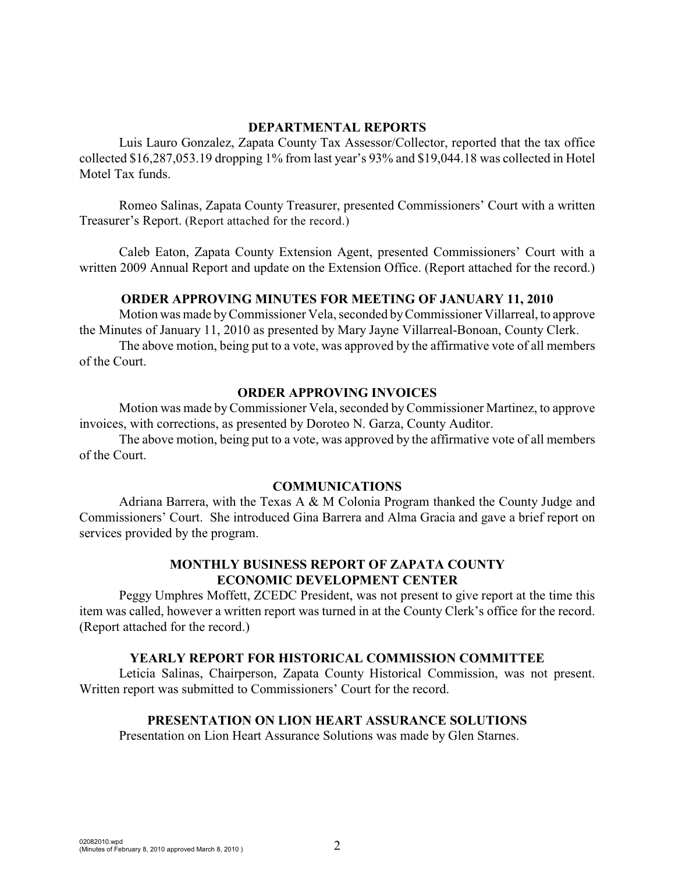#### **DEPARTMENTAL REPORTS**

Luis Lauro Gonzalez, Zapata County Tax Assessor/Collector, reported that the tax office collected \$16,287,053.19 dropping 1% from last year's 93% and \$19,044.18 was collected in Hotel Motel Tax funds.

Romeo Salinas, Zapata County Treasurer, presented Commissioners' Court with a written Treasurer's Report. (Report attached for the record.)

Caleb Eaton, Zapata County Extension Agent, presented Commissioners' Court with a written 2009 Annual Report and update on the Extension Office. (Report attached for the record.)

#### **ORDER APPROVING MINUTES FOR MEETING OF JANUARY 11, 2010**

Motion was made byCommissioner Vela, seconded by Commissioner Villarreal, to approve the Minutes of January 11, 2010 as presented by Mary Jayne Villarreal-Bonoan, County Clerk.

The above motion, being put to a vote, was approved by the affirmative vote of all members of the Court.

#### **ORDER APPROVING INVOICES**

Motion was made byCommissioner Vela, seconded by Commissioner Martinez, to approve invoices, with corrections, as presented by Doroteo N. Garza, County Auditor.

The above motion, being put to a vote, was approved by the affirmative vote of all members of the Court.

#### **COMMUNICATIONS**

Adriana Barrera, with the Texas A & M Colonia Program thanked the County Judge and Commissioners' Court. She introduced Gina Barrera and Alma Gracia and gave a brief report on services provided by the program.

## **MONTHLY BUSINESS REPORT OF ZAPATA COUNTY ECONOMIC DEVELOPMENT CENTER**

Peggy Umphres Moffett, ZCEDC President, was not present to give report at the time this item was called, however a written report was turned in at the County Clerk's office for the record. (Report attached for the record.)

# **YEARLY REPORT FOR HISTORICAL COMMISSION COMMITTEE**

Leticia Salinas, Chairperson, Zapata County Historical Commission, was not present. Written report was submitted to Commissioners' Court for the record.

## **PRESENTATION ON LION HEART ASSURANCE SOLUTIONS**

Presentation on Lion Heart Assurance Solutions was made by Glen Starnes.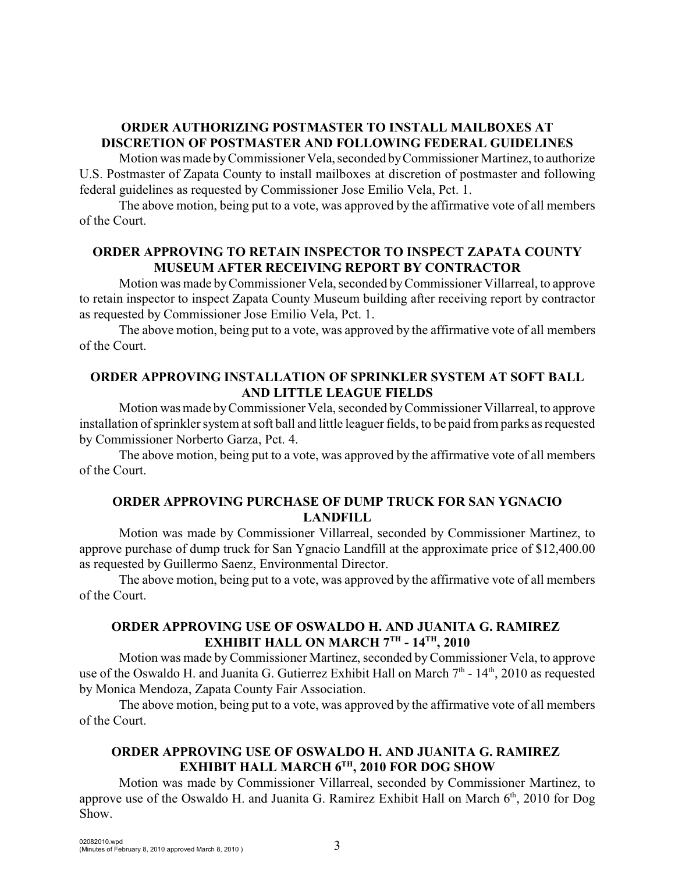# **ORDER AUTHORIZING POSTMASTER TO INSTALL MAILBOXES AT DISCRETION OF POSTMASTER AND FOLLOWING FEDERAL GUIDELINES**

Motion was made by Commissioner Vela, seconded by Commissioner Martinez, to authorize U.S. Postmaster of Zapata County to install mailboxes at discretion of postmaster and following federal guidelines as requested by Commissioner Jose Emilio Vela, Pct. 1.

The above motion, being put to a vote, was approved by the affirmative vote of all members of the Court.

## **ORDER APPROVING TO RETAIN INSPECTOR TO INSPECT ZAPATA COUNTY MUSEUM AFTER RECEIVING REPORT BY CONTRACTOR**

Motion was made byCommissioner Vela, seconded by Commissioner Villarreal, to approve to retain inspector to inspect Zapata County Museum building after receiving report by contractor as requested by Commissioner Jose Emilio Vela, Pct. 1.

The above motion, being put to a vote, was approved by the affirmative vote of all members of the Court.

## **ORDER APPROVING INSTALLATION OF SPRINKLER SYSTEM AT SOFT BALL AND LITTLE LEAGUE FIELDS**

Motion was made byCommissioner Vela, seconded by Commissioner Villarreal, to approve installation of sprinkler system at soft ball and little leaguer fields, to be paid from parks as requested by Commissioner Norberto Garza, Pct. 4.

The above motion, being put to a vote, was approved by the affirmative vote of all members of the Court.

## **ORDER APPROVING PURCHASE OF DUMP TRUCK FOR SAN YGNACIO LANDFILL**

Motion was made by Commissioner Villarreal, seconded by Commissioner Martinez, to approve purchase of dump truck for San Ygnacio Landfill at the approximate price of \$12,400.00 as requested by Guillermo Saenz, Environmental Director.

The above motion, being put to a vote, was approved by the affirmative vote of all members of the Court.

## **ORDER APPROVING USE OF OSWALDO H. AND JUANITA G. RAMIREZ EXHIBIT HALL ON MARCH**  $7<sup>TH</sup>$  **-**  $14<sup>TH</sup>$ **, 2010**

Motion was made byCommissioner Martinez, seconded by Commissioner Vela, to approve use of the Oswaldo H. and Juanita G. Gutierrez Exhibit Hall on March  $7<sup>th</sup>$  -  $14<sup>th</sup>$ , 2010 as requested by Monica Mendoza, Zapata County Fair Association.

The above motion, being put to a vote, was approved by the affirmative vote of all members of the Court.

## **ORDER APPROVING USE OF OSWALDO H. AND JUANITA G. RAMIREZ EXHIBIT HALL MARCH 6TH, 2010 FOR DOG SHOW**

Motion was made by Commissioner Villarreal, seconded by Commissioner Martinez, to approve use of the Oswaldo H. and Juanita G. Ramirez Exhibit Hall on March  $6<sup>th</sup>$ , 2010 for Dog Show.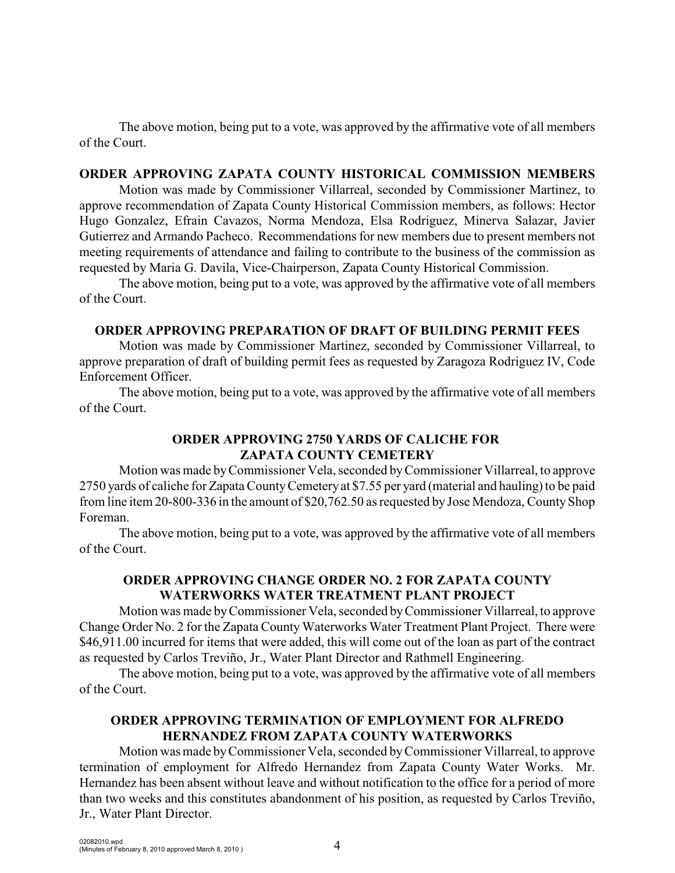The above motion, being put to a vote, was approved by the affirmative vote of all members of the Court.

#### **ORDER APPROVING ZAPATA COUNTY HISTORICAL COMMISSION MEMBERS**

Motion was made by Commissioner Villarreal, seconded by Commissioner Martinez, to approve recommendation of Zapata County Historical Commission members, as follows: Hector Hugo Gonzalez, Efrain Cavazos, Norma Mendoza, Elsa Rodriguez, Minerva Salazar, Javier Gutierrez and Armando Pacheco. Recommendations for new members due to present members not meeting requirements of attendance and failing to contribute to the business of the commission as requested by Maria G. Davila, Vice-Chairperson, Zapata County Historical Commission.

The above motion, being put to a vote, was approved by the affirmative vote of all members of the Court.

#### **ORDER APPROVING PREPARATION OF DRAFT OF BUILDING PERMIT FEES**

Motion was made by Commissioner Martinez, seconded by Commissioner Villarreal, to approve preparation of draft of building permit fees as requested by Zaragoza Rodriguez IV, Code Enforcement Officer.

The above motion, being put to a vote, was approved by the affirmative vote of all members of the Court.

#### **ORDER APPROVING 2750 YARDS OF CALICHE FOR ZAPATA COUNTY CEMETERY**

Motion was made by Commissioner Vela, seconded byCommissioner Villarreal, to approve 2750 yards of caliche for Zapata County Cemeteryat \$7.55 per yard (material and hauling) to be paid from line item 20-800-336 in the amount of \$20,762.50 as requested by Jose Mendoza, County Shop Foreman.

The above motion, being put to a vote, was approved by the affirmative vote of all members of the Court.

## **ORDER APPROVING CHANGE ORDER NO. 2 FOR ZAPATA COUNTY WATERWORKS WATER TREATMENT PLANT PROJECT**

Motion was made by Commissioner Vela, seconded byCommissioner Villarreal, to approve Change Order No. 2 for the Zapata County Waterworks Water Treatment Plant Project. There were \$46,911.00 incurred for items that were added, this will come out of the loan as part of the contract as requested by Carlos Treviño, Jr., Water Plant Director and Rathmell Engineering.

The above motion, being put to a vote, was approved by the affirmative vote of all members of the Court.

# **ORDER APPROVING TERMINATION OF EMPLOYMENT FOR ALFREDO HERNANDEZ FROM ZAPATA COUNTY WATERWORKS**

Motion was made byCommissioner Vela, seconded by Commissioner Villarreal, to approve termination of employment for Alfredo Hernandez from Zapata County Water Works. Mr. Hernandez has been absent without leave and without notification to the office for a period of more than two weeks and this constitutes abandonment of his position, as requested by Carlos Treviño, Jr., Water Plant Director.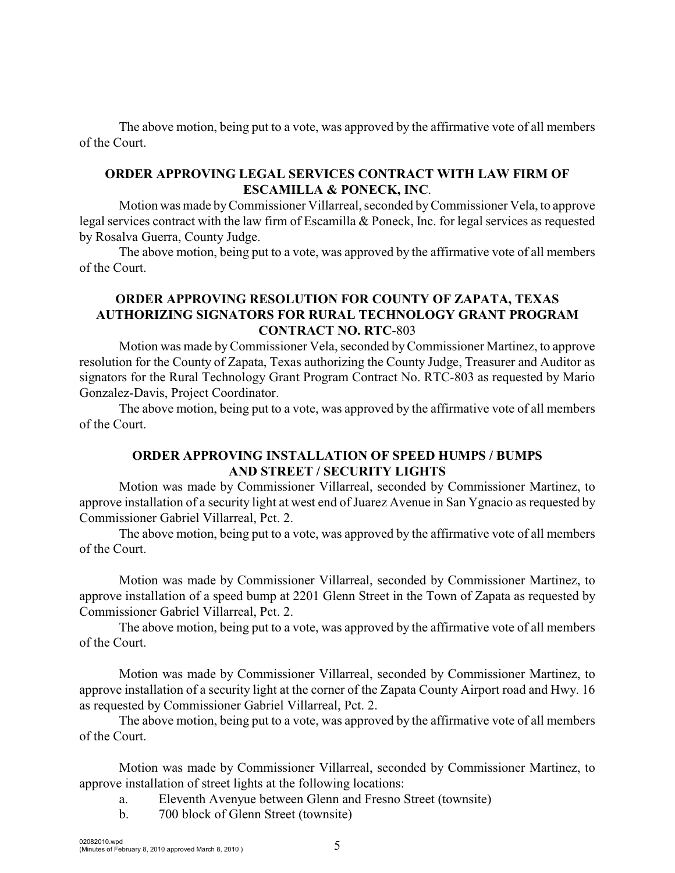The above motion, being put to a vote, was approved by the affirmative vote of all members of the Court.

#### **ORDER APPROVING LEGAL SERVICES CONTRACT WITH LAW FIRM OF ESCAMILLA & PONECK, INC**.

Motion was made byCommissioner Villarreal, seconded byCommissioner Vela, to approve legal services contract with the law firm of Escamilla & Poneck, Inc. for legal services as requested by Rosalva Guerra, County Judge.

The above motion, being put to a vote, was approved by the affirmative vote of all members of the Court.

# **ORDER APPROVING RESOLUTION FOR COUNTY OF ZAPATA, TEXAS AUTHORIZING SIGNATORS FOR RURAL TECHNOLOGY GRANT PROGRAM CONTRACT NO. RTC**-803

Motion was made byCommissioner Vela, seconded by Commissioner Martinez, to approve resolution for the County of Zapata, Texas authorizing the County Judge, Treasurer and Auditor as signators for the Rural Technology Grant Program Contract No. RTC-803 as requested by Mario Gonzalez-Davis, Project Coordinator.

The above motion, being put to a vote, was approved by the affirmative vote of all members of the Court.

## **ORDER APPROVING INSTALLATION OF SPEED HUMPS / BUMPS AND STREET / SECURITY LIGHTS**

Motion was made by Commissioner Villarreal, seconded by Commissioner Martinez, to approve installation of a security light at west end of Juarez Avenue in San Ygnacio as requested by Commissioner Gabriel Villarreal, Pct. 2.

The above motion, being put to a vote, was approved by the affirmative vote of all members of the Court.

Motion was made by Commissioner Villarreal, seconded by Commissioner Martinez, to approve installation of a speed bump at 2201 Glenn Street in the Town of Zapata as requested by Commissioner Gabriel Villarreal, Pct. 2.

The above motion, being put to a vote, was approved by the affirmative vote of all members of the Court.

Motion was made by Commissioner Villarreal, seconded by Commissioner Martinez, to approve installation of a security light at the corner of the Zapata County Airport road and Hwy. 16 as requested by Commissioner Gabriel Villarreal, Pct. 2.

The above motion, being put to a vote, was approved by the affirmative vote of all members of the Court.

Motion was made by Commissioner Villarreal, seconded by Commissioner Martinez, to approve installation of street lights at the following locations:

- a. Eleventh Avenyue between Glenn and Fresno Street (townsite)
- b. 700 block of Glenn Street (townsite)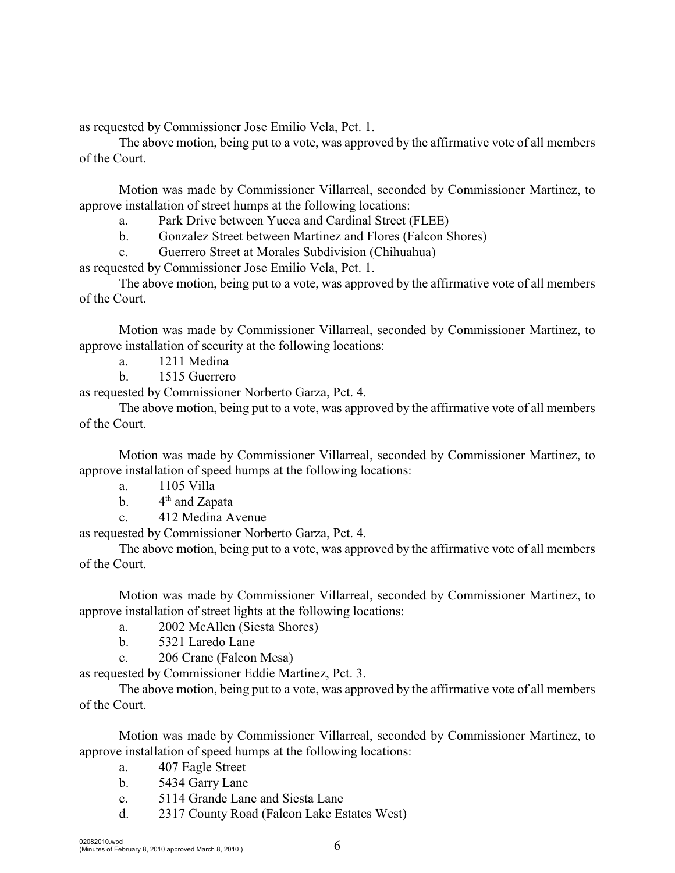as requested by Commissioner Jose Emilio Vela, Pct. 1.

The above motion, being put to a vote, was approved by the affirmative vote of all members of the Court.

Motion was made by Commissioner Villarreal, seconded by Commissioner Martinez, to approve installation of street humps at the following locations:

a. Park Drive between Yucca and Cardinal Street (FLEE)

b. Gonzalez Street between Martinez and Flores (Falcon Shores)

c. Guerrero Street at Morales Subdivision (Chihuahua)

as requested by Commissioner Jose Emilio Vela, Pct. 1.

The above motion, being put to a vote, was approved by the affirmative vote of all members of the Court.

Motion was made by Commissioner Villarreal, seconded by Commissioner Martinez, to approve installation of security at the following locations:

a. 1211 Medina

b. 1515 Guerrero

as requested by Commissioner Norberto Garza, Pct. 4.

The above motion, being put to a vote, was approved by the affirmative vote of all members of the Court.

Motion was made by Commissioner Villarreal, seconded by Commissioner Martinez, to approve installation of speed humps at the following locations:

- a. 1105 Villa
- b.  $4<sup>th</sup>$  and Zapata
- c. 412 Medina Avenue

as requested by Commissioner Norberto Garza, Pct. 4.

The above motion, being put to a vote, was approved by the affirmative vote of all members of the Court.

Motion was made by Commissioner Villarreal, seconded by Commissioner Martinez, to approve installation of street lights at the following locations:

a. 2002 McAllen (Siesta Shores)

- b. 5321 Laredo Lane
- c. 206 Crane (Falcon Mesa)

as requested by Commissioner Eddie Martinez, Pct. 3.

The above motion, being put to a vote, was approved by the affirmative vote of all members of the Court.

Motion was made by Commissioner Villarreal, seconded by Commissioner Martinez, to approve installation of speed humps at the following locations:

- a. 407 Eagle Street
- b. 5434 Garry Lane
- c. 5114 Grande Lane and Siesta Lane
- d. 2317 County Road (Falcon Lake Estates West)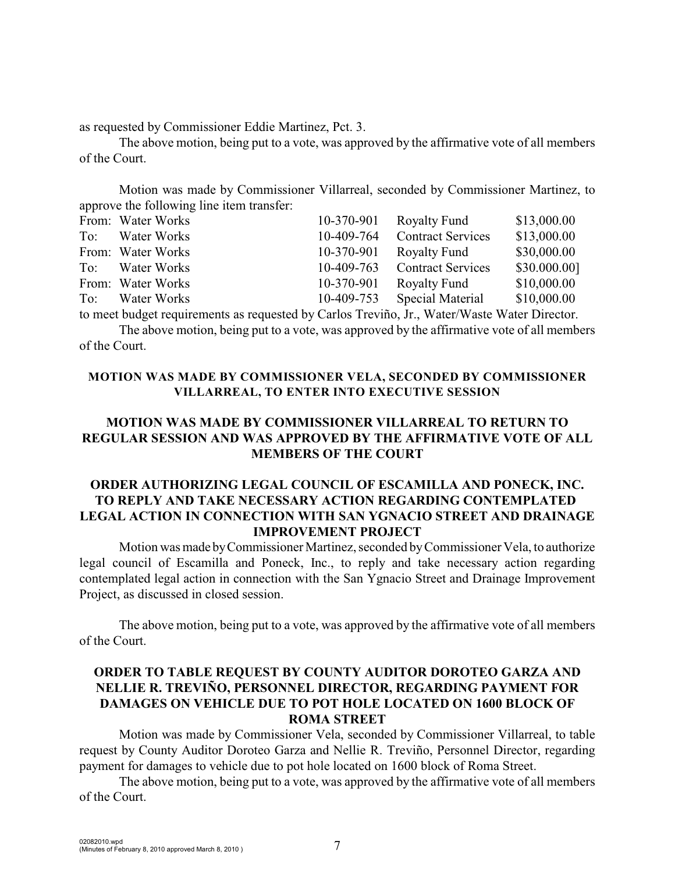as requested by Commissioner Eddie Martinez, Pct. 3.

The above motion, being put to a vote, was approved by the affirmative vote of all members of the Court.

Motion was made by Commissioner Villarreal, seconded by Commissioner Martinez, to approve the following line item transfer:

|     | From: Water Works | 10-370-901 | <b>Royalty Fund</b>      | \$13,000.00  |
|-----|-------------------|------------|--------------------------|--------------|
| To: | Water Works       | 10-409-764 | <b>Contract Services</b> | \$13,000.00  |
|     | From: Water Works | 10-370-901 | <b>Royalty Fund</b>      | \$30,000.00  |
| To: | Water Works       | 10-409-763 | <b>Contract Services</b> | \$30.000.00] |
|     | From: Water Works | 10-370-901 | <b>Royalty Fund</b>      | \$10,000.00  |
| To: | Water Works       | 10-409-753 | <b>Special Material</b>  | \$10,000.00  |
|     |                   |            |                          |              |

to meet budget requirements as requested by Carlos Treviño, Jr., Water/Waste Water Director.

The above motion, being put to a vote, was approved by the affirmative vote of all members of the Court.

#### **MOTION WAS MADE BY COMMISSIONER VELA, SECONDED BY COMMISSIONER VILLARREAL, TO ENTER INTO EXECUTIVE SESSION**

# **MOTION WAS MADE BY COMMISSIONER VILLARREAL TO RETURN TO REGULAR SESSION AND WAS APPROVED BY THE AFFIRMATIVE VOTE OF ALL MEMBERS OF THE COURT**

## **ORDER AUTHORIZING LEGAL COUNCIL OF ESCAMILLA AND PONECK, INC. TO REPLY AND TAKE NECESSARY ACTION REGARDING CONTEMPLATED LEGAL ACTION IN CONNECTION WITH SAN YGNACIO STREET AND DRAINAGE IMPROVEMENT PROJECT**

Motion was made by Commissioner Martinez, seconded by Commissioner Vela, to authorize legal council of Escamilla and Poneck, Inc., to reply and take necessary action regarding contemplated legal action in connection with the San Ygnacio Street and Drainage Improvement Project, as discussed in closed session.

The above motion, being put to a vote, was approved by the affirmative vote of all members of the Court.

#### **ORDER TO TABLE REQUEST BY COUNTY AUDITOR DOROTEO GARZA AND NELLIE R. TREVIÑO, PERSONNEL DIRECTOR, REGARDING PAYMENT FOR DAMAGES ON VEHICLE DUE TO POT HOLE LOCATED ON 1600 BLOCK OF ROMA STREET**

Motion was made by Commissioner Vela, seconded by Commissioner Villarreal, to table request by County Auditor Doroteo Garza and Nellie R. Treviño, Personnel Director, regarding payment for damages to vehicle due to pot hole located on 1600 block of Roma Street.

The above motion, being put to a vote, was approved by the affirmative vote of all members of the Court.